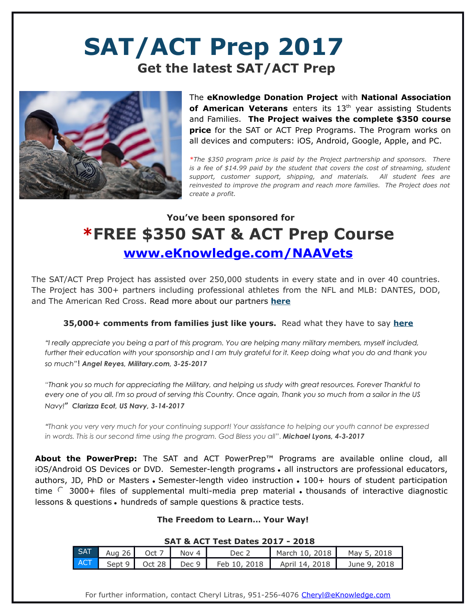# **SAT/ACT Prep 2017 Get the latest SAT/ACT Prep**



The **eKnowledge Donation Project** with **National Association** of American Veterans enters its 13<sup>th</sup> year assisting Students and Families. **The Project waives the complete \$350 course price** for the SAT or ACT Prep Programs. The Program works on all devices and computers: iOS, Android, Google, Apple, and PC.

*\*The \$350 program price is paid by the Project partnership and sponsors. There is a fee of \$14.99 paid by the student that covers the cost of streaming, student support, customer support, shipping, and materials. All student fees are reinvested to improve the program and reach more families. The Project does not create a profit.*

## **You've been sponsored for \*FREE \$350 SAT & ACT Prep Course  [www.eKnowledge.com/ NAAVets](http://www.eknowledge.com/USYS)**

The SAT/ACT Prep Project has assisted over 250,000 students in every state and in over 40 countries. The Project has 300+ partners including professional athletes from the NFL and MLB: DANTES, DOD, and The American Red Cross. Read more about our partners **[here](http://www.eknowledge.com/partners_comments.html)**

### **35,000+ comments from families just like yours.** Read what they have to say **[here](http://www.eknowledge.com/all_comments.php)**

*"I really appreciate you being a part of this program. You are helping many military members, myself included,*  further their education with your sponsorship and I am truly grateful for it. Keep doing what you do and thank you *so much"*! *Angel Reyes, Military.com, 3-25-2017*

"*Thank you so much for appreciating the Military, and helping us study with great resources. Forever Thankful to every one of you all. I'm so proud of serving this Country. Once again, Thank you so much from a sailor in the US Navy!*" *Clarizza Ecot, US Navy, 3-14-2017*

*"Thank you very very much for your continuing support! Your assistance to helping our youth cannot be expressed in words. This is our second time using the program. God Bless you all*". *Michael Lyons, 4-3-2017*

**About the PowerPrep:** The SAT and ACT PowerPrep™ Programs are available online cloud, all iOS/Android OS Devices or DVD. Semester-length programs · all instructors are professional educators, authors, JD, PhD or Masters • Semester-length video instruction • 100+ hours of student participation time  $\cap$  3000+ files of supplemental multi-media prep material  $\bullet$  thousands of interactive diagnostic lessons & questions . hundreds of sample questions & practice tests.

### **The Freedom to Learn… Your Way!**

#### **SAT & ACT Test Dates 2017 - 2018**

| <b>SAT</b> | 26<br>Aug . | .Ct           | Nov 4 | Dec 2              | 10, 2018<br>March | May 5, 2018  |
|------------|-------------|---------------|-------|--------------------|-------------------|--------------|
| <b>ACT</b> | Sept 9      | <b>Oct 28</b> | Dec 9 | 2018<br>Feb<br>10. | 14, 2018<br>April | June 9, 2018 |

For further information, contact Cheryl Litras, 951-256-4076 [Cheryl@eKnowledge.com](mailto:Cheryl@eKnowledge.com)